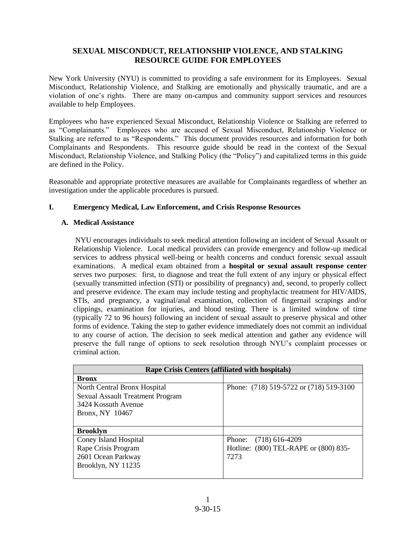# **SEXUAL MISCONDUCT, RELATIONSHIP VIOLENCE, AND STALKING RESOURCE GUIDE FOR EMPLOYEES**

New York University (NYU) is committed to providing a safe environment for its Employees. Sexual Misconduct, Relationship Violence, and Stalking are emotionally and physically traumatic, and are a violation of one's rights. There are many on-campus and community support services and resources available to help Employees.

Employees who have experienced Sexual Misconduct, Relationship Violence or Stalking are referred to as "Complainants." Employees who are accused of Sexual Misconduct, Relationship Violence or Stalking are referred to as "Respondents." This document provides resources and information for both Complainants and Respondents. This resource guide should be read in the context of the Sexual Misconduct, Relationship Violence, and Stalking Policy (the "Policy") and capitalized terms in this guide are defined in the Policy.

Reasonable and appropriate protective measures are available for Complainants regardless of whether an investigation under the applicable procedures is pursued.

## **I. Emergency Medical, Law Enforcement, and Crisis Response Resources**

## **A. Medical Assistance**

NYU encourages individuals to seek medical attention following an incident of Sexual Assault or Relationship Violence. Local medical providers can provide emergency and follow-up medical services to address physical well-being or health concerns and conduct forensic sexual assault examinations. A medical exam obtained from a **hospital or sexual assault response center** serves two purposes: first, to diagnose and treat the full extent of any injury or physical effect (sexually transmitted infection (STI) or possibility of pregnancy) and, second, to properly collect and preserve evidence. The exam may include testing and prophylactic treatment for HIV/AIDS, STIs, and pregnancy, a vaginal/anal examination, collection of fingernail scrapings and/or clippings, examination for injuries, and blood testing. There is a limited window of time (typically 72 to 96 hours) following an incident of sexual assault to preserve physical and other forms of evidence. Taking the step to gather evidence immediately does not commit an individual to any course of action. The decision to seek medical attention and gather any evidence will preserve the full range of options to seek resolution through NYU's complaint processes or criminal action.

| Rape Crisis Centers (affiliated with hospitals) |                                         |  |
|-------------------------------------------------|-----------------------------------------|--|
| <b>Bronx</b>                                    |                                         |  |
| North Central Bronx Hospital                    | Phone: (718) 519-5722 or (718) 519-3100 |  |
| <b>Sexual Assault Treatment Program</b>         |                                         |  |
| 3424 Kossuth Avenue                             |                                         |  |
| Bronx, NY 10467                                 |                                         |  |
|                                                 |                                         |  |
| <b>Brooklyn</b>                                 |                                         |  |
| Coney Island Hospital                           | Phone: (718) 616-4209                   |  |
| Rape Crisis Program                             | Hotline: (800) TEL-RAPE or (800) 835-   |  |
| 2601 Ocean Parkway                              | 7273                                    |  |
| Brooklyn, NY 11235                              |                                         |  |
|                                                 |                                         |  |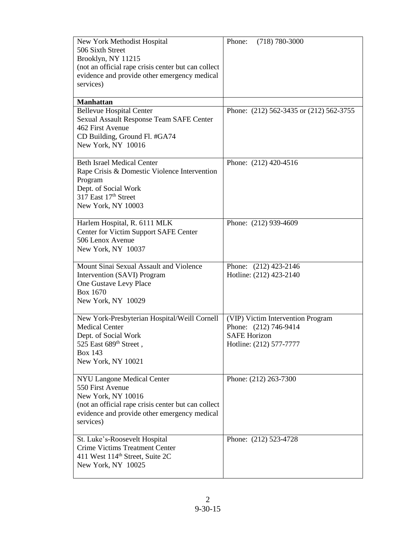| New York Methodist Hospital<br>506 Sixth Street<br>Brooklyn, NY 11215<br>(not an official rape crisis center but can collect<br>evidence and provide other emergency medical<br>services)       | $(718) 780 - 3000$<br>Phone:                     |
|-------------------------------------------------------------------------------------------------------------------------------------------------------------------------------------------------|--------------------------------------------------|
| <b>Manhattan</b>                                                                                                                                                                                | Phone: (212) 562-3435 or (212) 562-3755          |
| <b>Bellevue Hospital Center</b><br>Sexual Assault Response Team SAFE Center<br>462 First Avenue<br>CD Building, Ground Fl. #GA74<br>New York, NY 10016                                          |                                                  |
| <b>Beth Israel Medical Center</b>                                                                                                                                                               | Phone: (212) 420-4516                            |
| Rape Crisis & Domestic Violence Intervention<br>Program<br>Dept. of Social Work<br>317 East 17th Street<br>New York, NY 10003                                                                   |                                                  |
| Harlem Hospital, R. 6111 MLK<br>Center for Victim Support SAFE Center<br>506 Lenox Avenue<br>New York, NY 10037                                                                                 | Phone: (212) 939-4609                            |
| Mount Sinai Sexual Assault and Violence<br>Intervention (SAVI) Program<br>One Gustave Levy Place<br>Box 1670<br>New York, NY 10029                                                              | Phone: (212) 423-2146<br>Hotline: (212) 423-2140 |
| New York-Presbyterian Hospital/Weill Cornell                                                                                                                                                    | (VIP) Victim Intervention Program                |
| <b>Medical Center</b><br>Dept. of Social Work                                                                                                                                                   | Phone: (212) 746-9414<br><b>SAFE Horizon</b>     |
| 525 East 689 <sup>th</sup> Street,<br><b>Box 143</b><br>New York, NY 10021                                                                                                                      | Hotline: (212) 577-7777                          |
| <b>NYU Langone Medical Center</b><br>550 First Avenue<br>New York, NY 10016<br>(not an official rape crisis center but can collect<br>evidence and provide other emergency medical<br>services) | Phone: (212) 263-7300                            |
| St. Luke's-Roosevelt Hospital<br>Crime Victims Treatment Center<br>411 West 114 <sup>th</sup> Street, Suite 2C<br>New York, NY 10025                                                            | Phone: (212) 523-4728                            |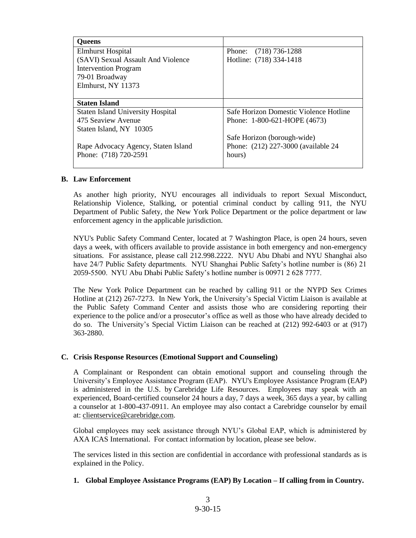| <b>Oueens</b>                            |                                        |
|------------------------------------------|----------------------------------------|
| <b>Elmhurst Hospital</b>                 | Phone: (718) 736-1288                  |
| (SAVI) Sexual Assault And Violence       | Hotline: (718) 334-1418                |
| <b>Intervention Program</b>              |                                        |
| 79-01 Broadway                           |                                        |
| Elmhurst, NY 11373                       |                                        |
|                                          |                                        |
| <b>Staten Island</b>                     |                                        |
| <b>Staten Island University Hospital</b> | Safe Horizon Domestic Violence Hotline |
| 475 Seaview Avenue                       | Phone: 1-800-621-HOPE (4673)           |
| Staten Island, NY 10305                  |                                        |
|                                          | Safe Horizon (borough-wide)            |
| Rape Advocacy Agency, Staten Island      | Phone: (212) 227-3000 (available 24    |
| Phone: (718) 720-2591                    | hours)                                 |
|                                          |                                        |

#### **B. Law Enforcement**

As another high priority, NYU encourages all individuals to report Sexual Misconduct, Relationship Violence, Stalking, or potential criminal conduct by calling 911, the NYU Department of Public Safety, the New York Police Department or the police department or law enforcement agency in the applicable jurisdiction.

NYU's Public Safety Command Center, located at 7 Washington Place, is open 24 hours, seven days a week, with officers available to provide assistance in both emergency and non-emergency situations. For assistance, please call 212.998.2222. NYU Abu Dhabi and NYU Shanghai also have 24/7 Public Safety departments. NYU Shanghai Public Safety's hotline number is (86) 21 2059-5500. NYU Abu Dhabi Public Safety's hotline number is 00971 2 628 7777.

The New York Police Department can be reached by calling 911 or the NYPD Sex Crimes Hotline at (212) 267-7273. In New York, the University's Special Victim Liaison is available at the Public Safety Command Center and assists those who are considering reporting their experience to the police and/or a prosecutor's office as well as those who have already decided to do so. The University's Special Victim Liaison can be reached at (212) 992-6403 or at (917) 363-2880.

#### **C. Crisis Response Resources (Emotional Support and Counseling)**

A Complainant or Respondent can obtain emotional support and counseling through the University's Employee Assistance Program (EAP). NYU's Employee Assistance Program (EAP) is administered in the U.S. by [Carebridge](http://www.myliferesource.com/) Life Resources. Employees may speak with an experienced, Board-certified counselor 24 hours a day, 7 days a week, 365 days a year, by calling a counselor at 1-800-437-0911. An employee may also contact a Carebridge counselor by email at[: clientservice@carebridge.com.](mailto:clientservice@carebridge.com)

Global employees may seek assistance through NYU's Global EAP, which is administered by AXA ICAS International. For contact information by location, please see below.

The services listed in this section are confidential in accordance with professional standards as is explained in the Policy.

#### **1. Global Employee Assistance Programs (EAP) By Location – If calling from in Country.**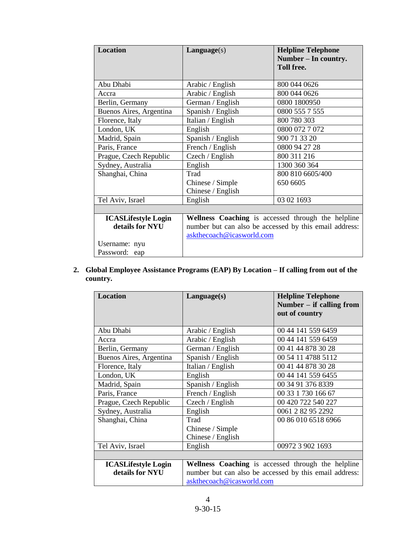| <b>Location</b>                                                                 | Language(s)                                                                                                                               | <b>Helpline Telephone</b><br>Number – In country.<br><b>Toll free.</b> |
|---------------------------------------------------------------------------------|-------------------------------------------------------------------------------------------------------------------------------------------|------------------------------------------------------------------------|
| Abu Dhabi                                                                       | Arabic / English                                                                                                                          | 800 044 0626                                                           |
| Accra                                                                           | Arabic / English                                                                                                                          | 800 044 0626                                                           |
| Berlin, Germany                                                                 | German / English                                                                                                                          | 0800 1800950                                                           |
| Buenos Aires, Argentina                                                         | Spanish / English                                                                                                                         | 0800 555 7 555                                                         |
| Florence, Italy                                                                 | Italian / English                                                                                                                         | 800 780 303                                                            |
| London, UK                                                                      | English                                                                                                                                   | 0800 072 7 072                                                         |
| Madrid, Spain                                                                   | Spanish / English                                                                                                                         | 900 71 33 20                                                           |
| Paris, France                                                                   | French / English                                                                                                                          | 0800 94 27 28                                                          |
| Prague, Czech Republic                                                          | Czech / English                                                                                                                           | 800 311 216                                                            |
| Sydney, Australia                                                               | English                                                                                                                                   | 1300 360 364                                                           |
| Shanghai, China                                                                 | Trad                                                                                                                                      | 800 810 6605/400                                                       |
|                                                                                 | Chinese / Simple<br>Chinese / English                                                                                                     | 650 6605                                                               |
| Tel Aviv, Israel                                                                | English                                                                                                                                   | 03 02 1693                                                             |
|                                                                                 |                                                                                                                                           |                                                                        |
| <b>ICASLifestyle Login</b><br>details for NYU<br>Username: nyu<br>Password: eap | Wellness Coaching is accessed through the helpline<br>number but can also be accessed by this email address:<br>askthecoach@icasworld.com |                                                                        |

**2. Global Employee Assistance Programs (EAP) By Location – If calling from out of the country.** 

| <b>Location</b>            | Language(s)               | <b>Helpline Telephone</b><br>Number $-$ if calling from<br>out of country |
|----------------------------|---------------------------|---------------------------------------------------------------------------|
| Abu Dhabi                  | Arabic / English          | 00 44 141 559 6459                                                        |
| Accra                      | Arabic / English          | 00 44 141 559 6459                                                        |
| Berlin, Germany            | German / English          | 00 41 44 878 30 28                                                        |
| Buenos Aires, Argentina    | Spanish / English         | 00 54 11 4788 5112                                                        |
| Florence, Italy            | Italian / English         | 00 41 44 878 30 28                                                        |
| London, UK                 | English                   | 00 44 141 559 6455                                                        |
| Madrid, Spain              | Spanish / English         | 00 34 91 376 8339                                                         |
| Paris, France              | French / English          | 00 33 1 730 166 67                                                        |
| Prague, Czech Republic     | Czech / English           | 00 420 722 540 227                                                        |
| Sydney, Australia          | English                   | 0061 2 82 95 2292                                                         |
| Shanghai, China            | Trad                      | 00 86 010 6518 6966                                                       |
|                            | Chinese / Simple          |                                                                           |
|                            | Chinese / English         |                                                                           |
| Tel Aviv, Israel           | English                   | 00972 3 902 1693                                                          |
|                            |                           |                                                                           |
| <b>ICASLifestyle Login</b> |                           | Wellness Coaching is accessed through the helpline                        |
| details for NYU            |                           | number but can also be accessed by this email address:                    |
|                            | askthecoach@icasworld.com |                                                                           |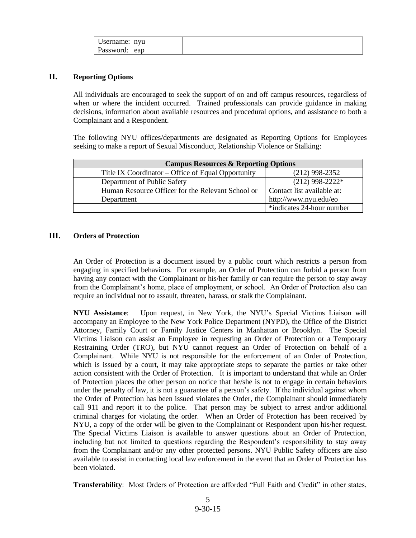| Username: nyu |  |
|---------------|--|
| Password: eap |  |

### **II. Reporting Options**

All individuals are encouraged to seek the support of on and off campus resources, regardless of when or where the incident occurred. Trained professionals can provide guidance in making decisions, information about available resources and procedural options, and assistance to both a Complainant and a Respondent.

The following NYU offices/departments are designated as Reporting Options for Employees seeking to make a report of Sexual Misconduct, Relationship Violence or Stalking:

| <b>Campus Resources &amp; Reporting Options</b>    |                            |
|----------------------------------------------------|----------------------------|
| Title IX Coordinator – Office of Equal Opportunity | $(212)$ 998-2352           |
| Department of Public Safety                        | $(212)$ 998-2222*          |
| Human Resource Officer for the Relevant School or  | Contact list available at: |
| Department                                         | http://www.nyu.edu/eo      |
|                                                    | *indicates 24-hour number  |

### **III. Orders of Protection**

An Order of Protection is a document issued by a public court which restricts a person from engaging in specified behaviors. For example, an Order of Protection can forbid a person from having any contact with the Complainant or his/her family or can require the person to stay away from the Complainant's home, place of employment, or school. An Order of Protection also can require an individual not to assault, threaten, harass, or stalk the Complainant.

**NYU Assistance**: Upon request, in New York, the NYU's Special Victims Liaison will accompany an Employee to the New York Police Department (NYPD), the Office of the District Attorney, Family Court or Family Justice Centers in Manhattan or Brooklyn. The Special Victims Liaison can assist an Employee in requesting an Order of Protection or a Temporary Restraining Order (TRO), but NYU cannot request an Order of Protection on behalf of a Complainant. While NYU is not responsible for the enforcement of an Order of Protection, which is issued by a court, it may take appropriate steps to separate the parties or take other action consistent with the Order of Protection. It is important to understand that while an Order of Protection places the other person on notice that he/she is not to engage in certain behaviors under the penalty of law, it is not a guarantee of a person's safety. If the individual against whom the Order of Protection has been issued violates the Order, the Complainant should immediately call 911 and report it to the police. That person may be subject to arrest and/or additional criminal charges for violating the order. When an Order of Protection has been received by NYU, a copy of the order will be given to the Complainant or Respondent upon his/her request. The Special Victims Liaison is available to answer questions about an Order of Protection, including but not limited to questions regarding the Respondent's responsibility to stay away from the Complainant and/or any other protected persons. NYU Public Safety officers are also available to assist in contacting local law enforcement in the event that an Order of Protection has been violated.

**Transferability**: Most Orders of Protection are afforded "Full Faith and Credit" in other states,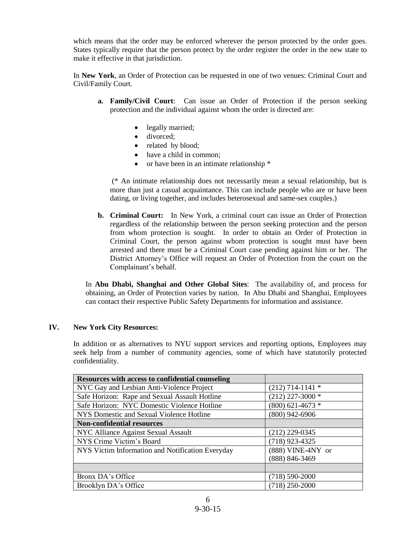which means that the order may be enforced wherever the person protected by the order goes. States typically require that the person protect by the order register the order in the new state to make it effective in that jurisdiction.

In **New York**, an Order of Protection can be requested in one of two venues: Criminal Court and Civil/Family Court.

- **a. Family/Civil Court**: Can issue an Order of Protection if the person seeking protection and the individual against whom the order is directed are:
	- legally married;
	- divorced:
	- related by blood;
	- have a child in common;
	- or have been in an intimate relationship  $*$

(\* An intimate relationship does not necessarily mean a sexual relationship, but is more than just a casual acquaintance. This can include people who are or have been dating, or living together, and includes heterosexual and same-sex couples.)

**b. Criminal Court:** In New York, a criminal court can issue an Order of Protection regardless of the relationship between the person seeking protection and the person from whom protection is sought. In order to obtain an Order of Protection in Criminal Court, the person against whom protection is sought must have been arrested and there must be a Criminal Court case pending against him or her. The District Attorney's Office will request an Order of Protection from the court on the Complainant's behalf.

In **Abu Dhabi, Shanghai and Other Global Sites**: The availability of, and process for obtaining, an Order of Protection varies by nation. In Abu Dhabi and Shanghai, Employees can contact their respective Public Safety Departments for information and assistance.

#### **IV. New York City Resources:**

In addition or as alternatives to NYU support services and reporting options, Employees may seek help from a number of community agencies, some of which have statutorily protected confidentiality.

| Resources with access to confidential counseling |                      |
|--------------------------------------------------|----------------------|
| NYC Gay and Lesbian Anti-Violence Project        | $(212)$ 714-1141 *   |
| Safe Horizon: Rape and Sexual Assault Hotline    | $(212)$ 227-3000 $*$ |
| Safe Horizon: NYC Domestic Violence Hotline      | $(800)$ 621-4673 *   |
| NYS Domestic and Sexual Violence Hotline         | $(800)$ 942-6906     |
| <b>Non-confidential resources</b>                |                      |
| NYC Alliance Against Sexual Assault              | $(212)$ 229-0345     |
| NYS Crime Victim's Board                         | $(718)$ 923-4325     |
| NYS Victim Information and Notification Everyday | $(888)$ VINE-4NY or  |
|                                                  | (888) 846-3469       |
|                                                  |                      |
| Bronx DA's Office                                | $(718) 590 - 2000$   |
| Brooklyn DA's Office                             | $(718)$ 250-2000     |